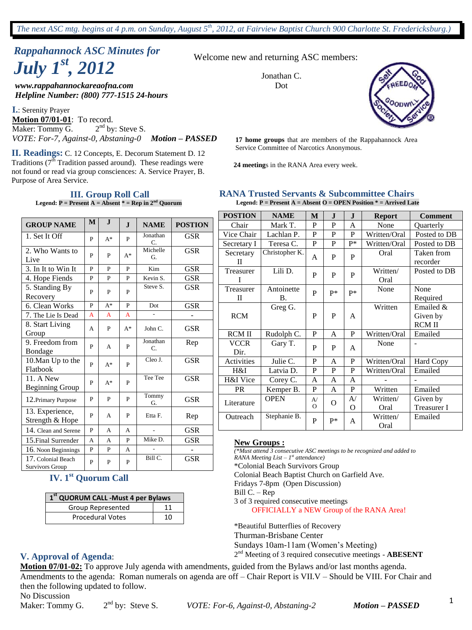# *Rappahannock ASC Minutes for July 1st , 2012*

*www.rappahannockareaofna.com* Dot *Helpline Number: (800) 777-1515 24-hours*

**I.**: Serenity Prayer **Motion 07/01-01**: To record. Maker: Tommy G. 2  $2<sup>nd</sup>$  by: Steve S. *VOTE: For-7, Against-0, Abstaning-0 Motion – PASSED*

Service Committee of Narcotics Anonymous. **II. Readings:** C. 12 Concepts, E. Decorum Statement D. 12 Traditions  $(7^{\overline{th}}$  Tradition passed around). These readings were not found or read via group consciences: A. Service Prayer, B. Purpose of Area Service.

#### **III. Group Roll Call Legend: P = Present A = Absent \* = Rep in 2nd Quorum**

**GROUP NAME**  $|M|$  **J**  $|$  **J**  $|$  **NAME**  $|$  **POSTION** 1. Set It Off <sup>P</sup> A\* <sup>P</sup> Jonathan C. GSR 2. Who Wants to Live  $\begin{array}{c|c} P & P & A^* \end{array}$ Michelle G. GSR 3. In It to Win It P P P Kim GSR 4. Hope Fiends P P P Kevin S. GSR 5. Standing By  $\begin{array}{c|c} \text{S. Stanung By} \\ \text{Recovery} \end{array}$  P P P Steve S. **GSR** 6. Clean Works P A\* P Dot GSR 7. The Lie Is Dead  $\begin{array}{|c|c|c|c|c|}\nA & A & A & - & - & -\n\end{array}$ 8. Start Living Group  $A \begin{bmatrix} P \end{bmatrix} A^* \begin{bmatrix} John C. \end{bmatrix} GSR$ 9. Freedom from  $\left[\begin{array}{c|c} P & A \end{array}\right]$  P  $\left[\begin{array}{c|c} P & A \end{array}\right]$  P Jonathan C. Rep 10.Man Up to the Flatbook  $\left[\begin{array}{c|c} P & A^* \end{array}\right]$  P Cleo J. GSR 11. A New  $\begin{array}{c|c|c|c|c} \text{P} & A^* & P \\ \text{Beginning Group} & P & A^* \end{array}$ Tee GSR 12.Primary Purpose P P P Tommy  $G<sub>G.</sub>$  GSR 13. Experience,  $S$ trength & Hope  $\left| P \right|$  A  $\left| P \right|$  Etta F. Rep 14. Clean and Serene P A A - GSR 15.Final Surrender A A P Mike D. GSR 16. Noon Beginnings  $\begin{array}{|c|c|c|c|c|c|c|c|c|} \hline \end{array}$  P A -17. Colonial Beach Survivors Group  $P$   $P$   $P$ Bill C. GSR

### **IV. 1st Quorum Call**

| 1 <sup>st</sup> QUORUM CALL -Must 4 per Bylaws |    |  |  |  |  |
|------------------------------------------------|----|--|--|--|--|
| Group Represented<br>11                        |    |  |  |  |  |
| <b>Procedural Votes</b>                        | 10 |  |  |  |  |

#### **V. Approval of Agenda**:

**Motion 07/01-02:** To approve July agenda with amendments, guided from the Bylaws and/or last months agenda. Amendments to the agenda: Roman numerals on agenda are off – Chair Report is VII.V – Should be VIII. For Chair and then the following updated to follow.

No Discussion

Maker: Tommy G.  $2<sup>nd</sup>$  by: Steve S.

nd by: Steve S. *VOTE: For-6, Against-0, Abstaning-2 Motion – PASSED*

Welcome new and returning ASC members:

Jonathan C.



**17 home groups** that are members of the Rappahannock Area

**24 meeting**s in the RANA Area every week.

#### **RANA Trusted Servants & Subcommittee Chairs**

**Legend: P = Present A = Absent O = OPEN Position \* = Arrived Late**

| <b>POSTION</b> | <b>NAME</b>    | $\bf{M}$            | $\bf J$     | $\bf J$  | <b>Report</b> | <b>Comment</b>     |  |  |
|----------------|----------------|---------------------|-------------|----------|---------------|--------------------|--|--|
| Chair          | Mark T.        | P                   | $\mathbf P$ | A        | None          | Quarterly          |  |  |
| Vice Chair     | Lachlan P.     | P                   | P           | P        | Written/Oral  | Posted to DB       |  |  |
| Secretary I    | Teresa C.      | P                   | P           | $P*$     | Written/Oral  | Posted to DB       |  |  |
| Secretary      | Christopher K. | Oral<br>P<br>P<br>A |             |          |               | Taken from         |  |  |
| П              |                |                     |             |          |               | recorder           |  |  |
| Treasurer      | Lili D.        | P                   | P           | P        | Written/      | Posted to DB       |  |  |
|                |                |                     |             |          | Oral          |                    |  |  |
| Treasurer      | Antoinette     | P                   | p*          | $P*$     | None          | None               |  |  |
| П              | <b>B.</b>      |                     |             |          |               | Required           |  |  |
|                | Greg G.        |                     |             |          | Written       | Emailed &          |  |  |
| <b>RCM</b>     |                | P                   | P           | A        |               | Given by           |  |  |
|                |                |                     |             |          |               | <b>RCM II</b>      |  |  |
| <b>RCM II</b>  | Rudolph C.     | P                   | A           | P        | Written/Oral  | Emailed            |  |  |
| <b>VCCR</b>    | Gary T.        | P                   | P           | A        | None          |                    |  |  |
| Dir.           |                |                     |             |          |               |                    |  |  |
| Activities     | Julie C.       | P                   | A           | P        | Written/Oral  | Hard Copy          |  |  |
| H&I            | Latvia D.      | P                   | P           | P        | Written/Oral  | Emailed            |  |  |
| H&I Vice       | Corey C.       | A                   | A           | A        |               |                    |  |  |
| <b>PR</b>      | Kemper B.      | $\mathbf P$         | A           | P        | Written       | Emailed            |  |  |
| Literature     | <b>OPEN</b>    | $\mathsf{A}$        |             | A/       | Written/      | Given by           |  |  |
|                |                | $\Omega$            | O           | $\Omega$ | Oral          | <b>Treasurer I</b> |  |  |
| Outreach       | Stephanie B.   | P                   | $P*$        | A        | Written/      | Emailed            |  |  |
|                |                |                     |             |          | Oral          |                    |  |  |

#### **New Groups :**

*(\*Must attend 3 consecutive ASC meetings to be recognized and added to RANA Meeting List – 1 st attendance)*

\*Colonial Beach Survivors Group

Colonial Beach Baptist Church on Garfield Ave.

Fridays 7-8pm (Open Discussion)

Bill C. – Rep

3 of 3 required consecutive meetings OFFICIALLY a NEW Group of the RANA Area!

\*Beautiful Butterflies of Recovery Thurman-Brisbane Center Sundays 10am-11am (Women's Meeting)

2 nd Meeting of 3 required consecutive meetings - **ABESENT**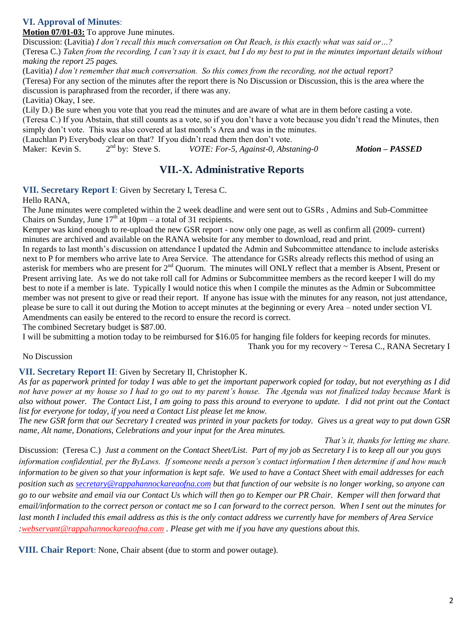### **VI. Approval of Minutes**:

**Motion 07/01-03:** To approve June minutes.

Discussion: (Lavitia) *I don't recall this much conversation on Out Reach, is this exactly what was said or…?* (Teresa C.) *Taken from the recording, I can't say it is exact, but I do my best to put in the minutes important details without making the report 25 pages.* 

(Lavitia) *I don't remember that much conversation. So this comes from the recording, not the actual report?*

(Teresa) For any section of the minutes after the report there is No Discussion or Discussion, this is the area where the discussion is paraphrased from the recorder, if there was any.

(Lavitia) Okay, I see.

(Lily D.) Be sure when you vote that you read the minutes and are aware of what are in them before casting a vote.

(Teresa C.) If you Abstain, that still counts as a vote, so if you don't have a vote because you didn't read the Minutes, then simply don't vote. This was also covered at last month's Area and was in the minutes.

(Lauchlan P) Everybody clear on that? If you didn't read them then don't vote.<br>Maker: Kevin S.  $2<sup>nd</sup>$  by: Steve S. *VOTE: For-5, Against-0, Abster* 

Maker: Kevin S. nd by: Steve S. *VOTE: For-5, Against-0, Abstaning-0 Motion – PASSED*

### **VII.-X. Administrative Reports**

**VII. Secretary Report I**: Given by Secretary I, Teresa C.

Hello RANA,

The June minutes were completed within the 2 week deadline and were sent out to GSRs , Admins and Sub-Committee Chairs on Sunday, June  $17<sup>th</sup>$  at 10pm – a total of 31 recipients.

Kemper was kind enough to re-upload the new GSR report - now only one page, as well as confirm all (2009- current) minutes are archived and available on the RANA website for any member to download, read and print.

In regards to last month's discussion on attendance I updated the Admin and Subcommittee attendance to include asterisks next to P for members who arrive late to Area Service. The attendance for GSRs already reflects this method of using an asterisk for members who are present for 2<sup>nd</sup> Quorum. The minutes will ONLY reflect that a member is Absent, Present or Present arriving late. As we do not take roll call for Admins or Subcommittee members as the record keeper I will do my best to note if a member is late. Typically I would notice this when I compile the minutes as the Admin or Subcommittee member was not present to give or read their report. If anyone has issue with the minutes for any reason, not just attendance, please be sure to call it out during the Motion to accept minutes at the beginning or every Area – noted under section VI. Amendments can easily be entered to the record to ensure the record is correct.

The combined Secretary budget is \$87.00.

I will be submitting a motion today to be reimbursed for \$16.05 for hanging file folders for keeping records for minutes.

Thank you for my recovery ~ Teresa C., RANA Secretary I

### No Discussion

### **VII. Secretary Report II**: Given by Secretary II, Christopher K.

*As far as paperwork printed for today I was able to get the important paperwork copied for today, but not everything as I did not have power at my house so I had to go out to my parent's house. The Agenda was not finalized today because Mark is also without power. The Contact List, I am going to pass this around to everyone to update. I did not print out the Contact list for everyone for today, if you need a Contact List please let me know.*

*The new GSR form that our Secretary I created was printed in your packets for today. Gives us a great way to put down GSR name, Alt name, Donations, Celebrations and your input for the Area minutes.*

*That's it, thanks for letting me share.* Discussion: (Teresa C.) *Just a comment on the Contact Sheet/List. Part of my job as Secretary I is to keep all our you guys information confidential, per the ByLaws. If someone needs a person's contact information I then determine if and how much information to be given so that your information is kept safe. We used to have a Contact Sheet with email addresses for each position such as [secretary@rappahannockareaofna.com](mailto:secretary@rappahannockareaofna.com) but that function of our website is no longer working, so anyone can go to our website and email via our Contact Us which will then go to Kemper our PR Chair. Kemper will then forward that email/information to the correct person or contact me so I can forward to the correct person. When I sent out the minutes for last month I included this email address as this is the only contact address we currently have for members of Area Service [:webservant@rappahannockareaofna.com](mailto:webservant@rappahannockareaofna.com) . Please get with me if you have any questions about this.* 

**VIII. Chair Report**: None, Chair absent (due to storm and power outage).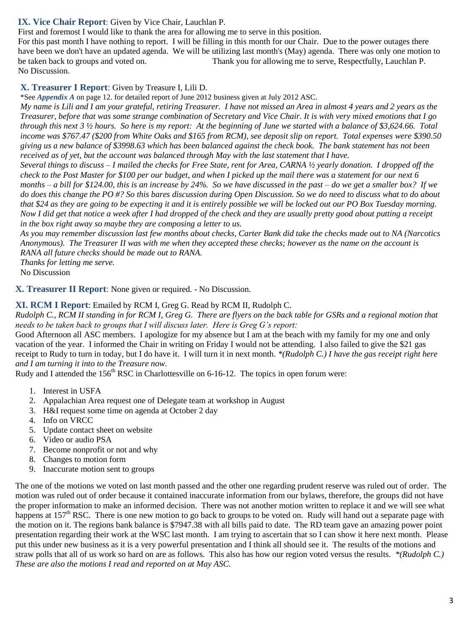### **IX. Vice Chair Report**: Given by Vice Chair, Lauchlan P.

First and foremost I would like to thank the area for allowing me to serve in this position.

For this past month I have nothing to report. I will be filling in this month for our Chair. Due to the power outages there have been we don't have an updated agenda. We will be utilizing last month's (May) agenda. There was only one motion to be taken back to groups and voted on. Thank you for allowing me to serve, Respectfully, Lauchlan P. No Discussion.

### **X. Treasurer I Report**: Given by Treasure I, Lili D.

\*See *Appendix A* on page 12. for detailed report of June 2012 business given at July 2012 ASC.

*My name is Lili and I am your grateful, retiring Treasurer. I have not missed an Area in almost 4 years and 2 years as the Treasurer, before that was some strange combination of Secretary and Vice Chair. It is with very mixed emotions that I go through this next 3 ½ hours. So here is my report: At the beginning of June we started with a balance of \$3,624.66. Total income was \$767.47 (\$200 from White Oaks and \$165 from RCM), see deposit slip on report. Total expenses were \$390.50 giving us a new balance of \$3998.63 which has been balanced against the check book. The bank statement has not been received as of yet, but the account was balanced through May with the last statement that I have.*

*Several things to discuss – I mailed the checks for Free State, rent for Area, CARNA ½ yearly donation. I dropped off the check to the Post Master for \$100 per our budget, and when I picked up the mail there was a statement for our next 6 months – a bill for \$124.00, this is an increase by 24%. So we have discussed in the past – do we get a smaller box? If we do does this change the PO #? So this bares discussion during Open Discussion. So we do need to discuss what to do about that \$24 as they are going to be expecting it and it is entirely possible we will be locked out our PO Box Tuesday morning. Now I did get that notice a week after I had dropped of the check and they are usually pretty good about putting a receipt in the box right away so maybe they are composing a letter to us.*

*As you may remember discussion last few months about checks, Carter Bank did take the checks made out to NA (Narcotics Anonymous). The Treasurer II was with me when they accepted these checks; however as the name on the account is RANA all future checks should be made out to RANA.*

*Thanks for letting me serve.*

No Discussion

#### **X. Treasurer II Report**: None given or required. - No Discussion.

#### **XI. RCM I Report**: Emailed by RCM I, Greg G. Read by RCM II, Rudolph C.

*Rudolph C., RCM II standing in for RCM I, Greg G. There are flyers on the back table for GSRs and a regional motion that needs to be taken back to groups that I will discuss later. Here is Greg G's report:*

Good Afternoon all ASC members. I apologize for my absence but I am at the beach with my family for my one and only vacation of the year. I informed the Chair in writing on Friday I would not be attending. I also failed to give the \$21 gas receipt to Rudy to turn in today, but I do have it. I will turn it in next month. *\*(Rudolph C.) I have the gas receipt right here and I am turning it into to the Treasure now.*

Rudy and I attended the 156<sup>th</sup> RSC in Charlottesville on 6-16-12. The topics in open forum were:

- 1. Interest in USFA
- 2. Appalachian Area request one of Delegate team at workshop in August
- 3. H&I request some time on agenda at October 2 day
- 4. Info on VRCC
- 5. Update contact sheet on website
- 6. Video or audio PSA
- 7. Become nonprofit or not and why
- 8. Changes to motion form
- 9. Inaccurate motion sent to groups

The one of the motions we voted on last month passed and the other one regarding prudent reserve was ruled out of order. The motion was ruled out of order because it contained inaccurate information from our bylaws, therefore, the groups did not have the proper information to make an informed decision. There was not another motion written to replace it and we will see what happens at  $157<sup>th</sup> RSC$ . There is one new motion to go back to groups to be voted on. Rudy will hand out a separate page with the motion on it. The regions bank balance is \$7947.38 with all bills paid to date. The RD team gave an amazing power point presentation regarding their work at the WSC last month. I am trying to ascertain that so I can show it here next month. Please put this under new business as it is a very powerful presentation and I think all should see it. The results of the motions and straw polls that all of us work so hard on are as follows. This also has how our region voted versus the results. *\*(Rudolph C.) These are also the motions I read and reported on at May ASC.*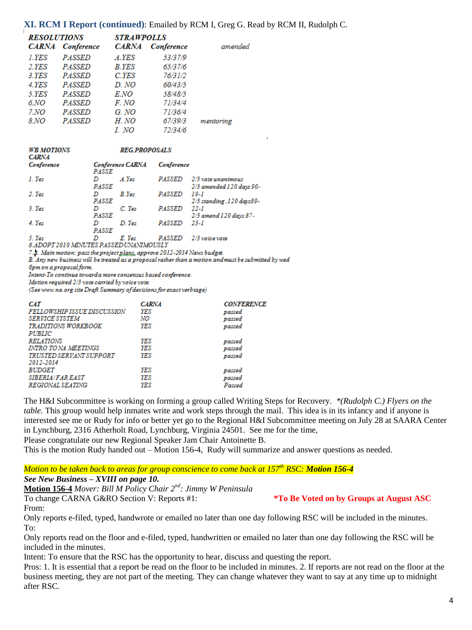#### **XI. RCM I Report (continued)**: Emailed by RCM I, Greg G. Read by RCM II, Rudolph C.

| <b>RESOLUTIONS</b><br><b>STRAWPOLLS</b> |                   |              |                   |           |
|-----------------------------------------|-------------------|--------------|-------------------|-----------|
| <b>CARNA</b>                            | <b>Conference</b> | <b>CARNA</b> | <b>Conference</b> | amended   |
| 1.YES                                   | <i>PASSED</i>     | A.YES        | 53/37/9           |           |
| 2.YES                                   | <b>PASSED</b>     | B.YES        | 65/37/6           |           |
| 3.YES                                   | <i>PASSED</i>     | C.YES        | 76/31/2           |           |
| 4.YES                                   | <b>PASSED</b>     | D. NO        | 60/43/5           |           |
| 5.YES                                   | <b>PASSED</b>     | E.NO         | 58/48/5           |           |
| 6.NO                                    | <b>PASSED</b>     | F. NO        | 71/34/4           |           |
| 7.NO                                    | <b>PASSED</b>     | G. NO        | 71/36/4           |           |
| 8.NO                                    | <b>PASSED</b>     | H. NO        | 67/39/3           | mentoring |
|                                         |                   | I. NO        | 72/34/6           |           |

| WB MOTION |  |
|-----------|--|
| r adn     |  |

**REG PROPOSALS** 

| <b>CONTRACTOR</b> |                                  |               |                                                |
|-------------------|----------------------------------|---------------|------------------------------------------------|
| Conference        | <b>Conference CARNA</b><br>PASSE | Conference    |                                                |
| 1. Yes            | A.Yes<br>PASSE                   | PASSED        | 2/3 vote unanimous<br>2/3 amended 120 days 90- |
| 2. Yes            | <b>B</b> .Yes                    | <b>PASSED</b> | 19-1                                           |
| 3. Yes            | PASSE<br>$C$ . Yes               | PASSED        | 2/3 standing , 120 days89-<br>-22-1            |
|                   | PASSE                            |               | 2/3 amend 120 days 87-                         |
| 4. Yes            | D. Yes                           | <b>PASSED</b> | 23-I                                           |
| - -               | PASSE                            |               |                                                |

5. Yes D E. Yes PASSED 2/3 voice vote

6.ADOPT 2010 MINUTES PASSED UNANIMOUSLY

7.A. Main motion: pass the project plans, approve 2012-2014 Naws budget.

B. Any new business will be treated as a proposal rather than a motion and must be submitted by wed

брт оп a proposal form.

Intent-To continue toward a more consensus based conference.

Motion required 2/3 vote carried by voice vote.

(See www.na.org site Draft Summary of decisions for exact verbiage)

| <b>CAT</b><br>FELLOWSHIP ISSUE DISCUSSION<br><b>SERVICE SYSTEM</b><br><b>TRADITIONS WORKBOOK</b> | <b>CARNA</b><br>YES<br>NO<br>YES | <b>CONFERENCE</b><br>passed<br>passed |
|--------------------------------------------------------------------------------------------------|----------------------------------|---------------------------------------|
| <b>PUBLIC</b>                                                                                    |                                  | passed                                |
| <b>RELATIONS</b><br><b>INTRO TO NA MEETINGS</b>                                                  | YES<br>YES                       | passed                                |
| <i>TRUSTED SERVANT SUPPORT</i><br>2012-2014                                                      | YES                              | passed<br>passed                      |
| <b>BUDGET</b>                                                                                    | <b>YES</b>                       | passed                                |
| <b>SIBERIA/FAR EAST</b>                                                                          | YES                              | passed                                |
| REGIONAL SEATING                                                                                 | YES                              | Passed                                |

The H&I Subcommittee is working on forming a group called Writing Steps for Recovery. *\*(Rudolph C.) Flyers on the table.* This group would help inmates write and work steps through the mail. This idea is in its infancy and if anyone is interested see me or Rudy for info or better yet go to the Regional H&I Subcommittee meeting on July 28 at SAARA Center in Lynchburg, 2316 Atherholt Road, Lynchburg, Virginia 24501. See me for the time,

*.*

Please congratulate our new Regional Speaker Jam Chair Antoinette B.

This is the motion Rudy handed out – Motion 156-4, Rudy will summarize and answer questions as needed.

*Motion to be taken back to areas for group conscience to come back at 157th RSC: Motion 156-4*

#### *See New Business – XVIII on page 10.*

**Motion 156-4** *Mover: Bill M Policy Chair 2nd: Jimmy W Peninsula*

To change CARNA G&RO Section V: Reports #1: **\*To Be Voted on by Groups at August ASC**

From:

Only reports e-filed, typed, handwrote or emailed no later than one day following RSC will be included in the minutes. To:

Only reports read on the floor and e-filed, typed, handwritten or emailed no later than one day following the RSC will be included in the minutes.

Intent: To ensure that the RSC has the opportunity to hear, discuss and questing the report.

Pros: 1. It is essential that a report be read on the floor to be included in minutes. 2. If reports are not read on the floor at the business meeting, they are not part of the meeting. They can change whatever they want to say at any time up to midnight after RSC.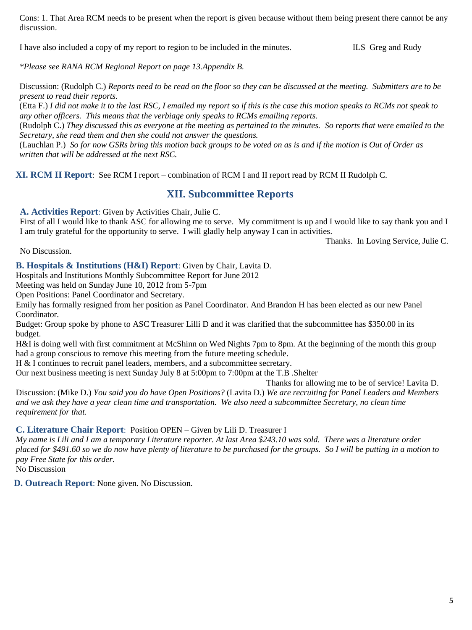Cons: 1. That Area RCM needs to be present when the report is given because without them being present there cannot be any discussion.

I have also included a copy of my report to region to be included in the minutes. ILS Greg and Rudy

*\*Please see RANA RCM Regional Report on page 13.Appendix B.*

Discussion: (Rudolph C.) *Reports need to be read on the floor so they can be discussed at the meeting. Submitters are to be present to read their reports.* 

(Etta F.) *I did not make it to the last RSC, I emailed my report so if this is the case this motion speaks to RCMs not speak to any other officers. This means that the verbiage only speaks to RCMs emailing reports.*

(Rudolph C.) *They discussed this as everyone at the meeting as pertained to the minutes. So reports that were emailed to the Secretary, she read them and then she could not answer the questions.*

(Lauchlan P.) *So for now GSRs bring this motion back groups to be voted on as is and if the motion is Out of Order as written that will be addressed at the next RSC.*

**XI. RCM II Report**: See RCM I report – combination of RCM I and II report read by RCM II Rudolph C.

### **XII. Subcommittee Reports**

**A. Activities Report**: Given by Activities Chair, Julie C.

First of all I would like to thank ASC for allowing me to serve. My commitment is up and I would like to say thank you and I I am truly grateful for the opportunity to serve. I will gladly help anyway I can in activities.

Thanks. In Loving Service, Julie C.

No Discussion.

**B. Hospitals & Institutions (H&I) Report**: Given by Chair, Lavita D.

Hospitals and Institutions Monthly Subcommittee Report for June 2012

Meeting was held on Sunday June 10, 2012 from 5-7pm

Open Positions: Panel Coordinator and Secretary.

Emily has formally resigned from her position as Panel Coordinator. And Brandon H has been elected as our new Panel Coordinator.

Budget: Group spoke by phone to ASC Treasurer Lilli D and it was clarified that the subcommittee has \$350.00 in its budget.

H&I is doing well with first commitment at McShinn on Wed Nights 7pm to 8pm. At the beginning of the month this group had a group conscious to remove this meeting from the future meeting schedule.

H & I continues to recruit panel leaders, members, and a subcommittee secretary.

Our next business meeting is next Sunday July 8 at 5:00pm to 7:00pm at the T.B .Shelter

Thanks for allowing me to be of service! Lavita D.

Discussion: (Mike D.) *You said you do have Open Positions?* (Lavita D.) *We are recruiting for Panel Leaders and Members and we ask they have a year clean time and transportation. We also need a subcommittee Secretary, no clean time requirement for that.*

### **C. Literature Chair Report**: Position OPEN – Given by Lili D. Treasurer I

*My name is Lili and I am a temporary Literature reporter. At last Area \$243.10 was sold. There was a literature order placed for \$491.60 so we do now have plenty of literature to be purchased for the groups. So I will be putting in a motion to pay Free State for this order.*

No Discussion

**D. Outreach Report**: None given. No Discussion.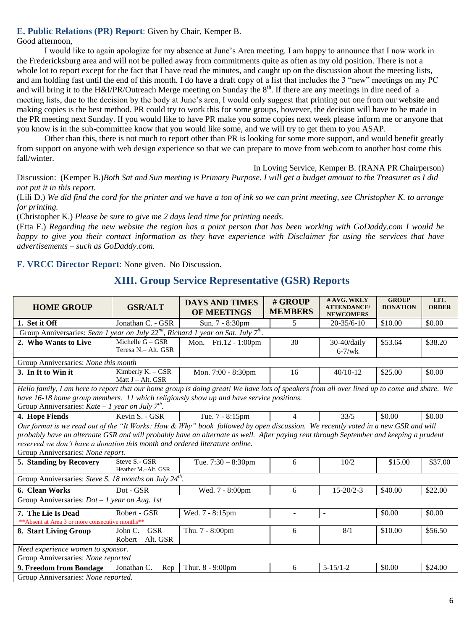### **E. Public Relations (PR) Report**: Given by Chair, Kemper B.

Good afternoon,

I would like to again apologize for my absence at June's Area meeting. I am happy to announce that I now work in the Fredericksburg area and will not be pulled away from commitments quite as often as my old position. There is not a whole lot to report except for the fact that I have read the minutes, and caught up on the discussion about the meeting lists, and am holding fast until the end of this month. I do have a draft copy of a list that includes the 3 "new" meetings on my PC and will bring it to the H&I/PR/Outreach Merge meeting on Sunday the  $8<sup>th</sup>$ . If there are any meetings in dire need of a meeting lists, due to the decision by the body at June's area, I would only suggest that printing out one from our website and making copies is the best method. PR could try to work this for some groups, however, the decision will have to be made in the PR meeting next Sunday. If you would like to have PR make you some copies next week please inform me or anyone that you know is in the sub-committee know that you would like some, and we will try to get them to you ASAP.

Other than this, there is not much to report other than PR is looking for some more support, and would benefit greatly from support on anyone with web design experience so that we can prepare to move from web.com to another host come this fall/winter.

In Loving Service, Kemper B. (RANA PR Chairperson)

Discussion: (Kemper B.)*Both Sat and Sun meeting is Primary Purpose. I will get a budget amount to the Treasurer as I did not put it in this report.*

(Lili D.) *We did find the cord for the printer and we have a ton of ink so we can print meeting, see Christopher K. to arrange for printing.*

(Christopher K.) *Please be sure to give me 2 days lead time for printing needs.*

(Etta F.) *Regarding the new website the region has a point person that has been working with GoDaddy.com I would be happy to give you their contact information as they have experience with Disclaimer for using the services that have advertisements – such as GoDaddy.com.*

**F. VRCC Director Report**: None given. No Discussion.

### **XIII. Group Service Representative (GSR) Reports**

| <b>HOME GROUP</b>                                                                                                                                                                                                                                                                                                                                                                             | <b>GSR/ALT</b>                            | <b>DAYS AND TIMES</b><br>OF MEETINGS | # GROUP<br><b>MEMBERS</b> | # AVG. WKLY<br><b>ATTENDANCE</b> /<br><b>NEWCOMERS</b> | <b>GROUP</b><br><b>DONATION</b> | LIT.<br><b>ORDER</b> |  |  |
|-----------------------------------------------------------------------------------------------------------------------------------------------------------------------------------------------------------------------------------------------------------------------------------------------------------------------------------------------------------------------------------------------|-------------------------------------------|--------------------------------------|---------------------------|--------------------------------------------------------|---------------------------------|----------------------|--|--|
| 1. Set it Off                                                                                                                                                                                                                                                                                                                                                                                 | Jonathan C. - GSR                         | Sun. 7 - 8:30pm                      | 5                         | $20 - 35/6 - 10$                                       | \$10.00                         | \$0.00               |  |  |
| Group Anniversaries: Sean 1 year on July $22^{nd}$ , Richard 1 year on Sat. July $7^{th}$ .                                                                                                                                                                                                                                                                                                   |                                           |                                      |                           |                                                        |                                 |                      |  |  |
| 2. Who Wants to Live                                                                                                                                                                                                                                                                                                                                                                          | Michelle $G - GSR$<br>Teresa N.- Alt. GSR | Mon. - Fri.12 - 1:00pm               | 30                        | $30-40$ /daily<br>$6-7$ /wk                            | \$53.64                         | \$38.20              |  |  |
| Group Anniversaries: None this month                                                                                                                                                                                                                                                                                                                                                          |                                           |                                      |                           |                                                        |                                 |                      |  |  |
| 3. In It to Win it                                                                                                                                                                                                                                                                                                                                                                            | Kimberly K. - GSR<br>Matt $J - Alt$ . GSR | Mon. 7:00 - 8:30pm                   | 16                        | $40/10-12$                                             | \$25.00                         | \$0.00               |  |  |
| Hello family, I am here to report that our home group is doing great! We have lots of speakers from all over lined up to come and share. We                                                                                                                                                                                                                                                   |                                           |                                      |                           |                                                        |                                 |                      |  |  |
| have 16-18 home group members. 11 which religiously show up and have service positions.                                                                                                                                                                                                                                                                                                       |                                           |                                      |                           |                                                        |                                 |                      |  |  |
| Group Anniversaries: Kate - 1 year on July $7^{th}$ .                                                                                                                                                                                                                                                                                                                                         |                                           |                                      |                           |                                                        |                                 |                      |  |  |
| 4. Hope Fiends                                                                                                                                                                                                                                                                                                                                                                                | Kevin S. - GSR                            | Tue. 7 - 8:15pm                      | 4                         | 33/5                                                   | \$0.00                          | \$0.00               |  |  |
| Our format is we read out of the "It Works: How & Why" book followed by open discussion. We recently voted in a new GSR and will<br>probably have an alternate GSR and will probably have an alternate as well. After paying rent through September and keeping a prudent<br>reserved we don't have a donation this month and ordered literature online.<br>Group Anniversaries: None report. |                                           |                                      |                           |                                                        |                                 |                      |  |  |
| 5. Standing by Recovery                                                                                                                                                                                                                                                                                                                                                                       | Steve S.- GSR<br>Heather M.-Alt. GSR      | Tue. $7:30 - 8:30$ pm                | 6                         | 10/2                                                   | \$15.00                         | \$37.00              |  |  |
| Group Anniversaries: Steve S. 18 months on July 24 <sup>th</sup> .                                                                                                                                                                                                                                                                                                                            |                                           |                                      |                           |                                                        |                                 |                      |  |  |
| 6. Clean Works                                                                                                                                                                                                                                                                                                                                                                                | Dot - GSR                                 | Wed. 7 - 8:00pm                      | 6                         | $15 - 20/2 - 3$                                        | \$40.00                         | \$22.00              |  |  |
| Group Anniversaries: $Dot - 1$ year on Aug. 1st                                                                                                                                                                                                                                                                                                                                               |                                           |                                      |                           |                                                        |                                 |                      |  |  |
| 7. The Lie Is Dead                                                                                                                                                                                                                                                                                                                                                                            | Robert - GSR                              | Wed. 7 - 8:15pm                      | $\sim$                    | $\sim$                                                 | \$0.00                          | \$0.00               |  |  |
| ** Absent at Area 3 or more consecutive months**                                                                                                                                                                                                                                                                                                                                              |                                           |                                      |                           |                                                        |                                 |                      |  |  |
| 8. Start Living Group                                                                                                                                                                                                                                                                                                                                                                         | John C. - GSR<br>Robert – Alt. GSR        | Thu. 7 - 8:00pm                      | 6                         | 8/1                                                    | \$10.00                         | \$56.50              |  |  |
| Need experience women to sponsor.<br>Group Anniversaries: None reported                                                                                                                                                                                                                                                                                                                       |                                           |                                      |                           |                                                        |                                 |                      |  |  |
| 9. Freedom from Bondage                                                                                                                                                                                                                                                                                                                                                                       | Jonathan $C - Rep$                        | Thur. 8 - 9:00pm                     | 6                         | $5 - 15/1 - 2$                                         | \$0.00                          | \$24.00              |  |  |
| Group Anniversaries: None reported.                                                                                                                                                                                                                                                                                                                                                           |                                           |                                      |                           |                                                        |                                 |                      |  |  |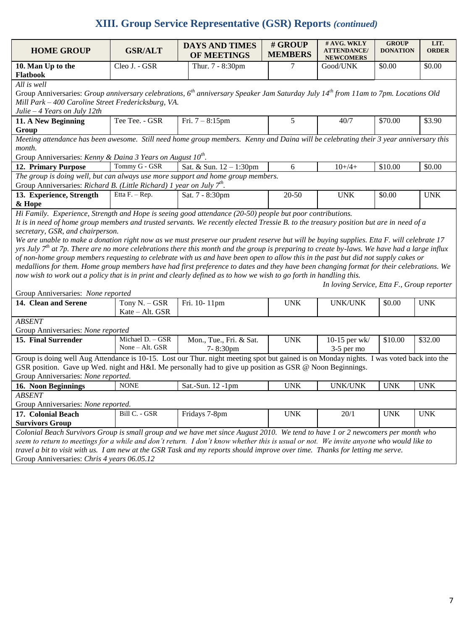## **XIII. Group Service Representative (GSR) Reports** *(continued)*

| <b>HOME GROUP</b>                                                                                                                                                                                                                                                                    | <b>GSR/ALT</b>                      | <b>DAYS AND TIMES</b>               | # GROUP        | # AVG. WKLY<br><b>ATTENDANCE/</b>          | <b>GROUP</b><br><b>DONATION</b> | LIT.<br><b>ORDER</b> |  |  |  |
|--------------------------------------------------------------------------------------------------------------------------------------------------------------------------------------------------------------------------------------------------------------------------------------|-------------------------------------|-------------------------------------|----------------|--------------------------------------------|---------------------------------|----------------------|--|--|--|
|                                                                                                                                                                                                                                                                                      |                                     | OF MEETINGS                         | <b>MEMBERS</b> | <b>NEWCOMERS</b>                           |                                 |                      |  |  |  |
| 10. Man Up to the<br>Flatbook                                                                                                                                                                                                                                                        | Cleo J. - GSR                       | Thur. 7 - 8:30pm                    | 7              | Good/UNK                                   | \$0.00                          | \$0.00               |  |  |  |
| All is well                                                                                                                                                                                                                                                                          |                                     |                                     |                |                                            |                                 |                      |  |  |  |
| Group Anniversaries: Group anniversary celebrations, $6^{th}$ anniversary Speaker Jam Saturday July $14^{th}$ from 11am to 7pm. Locations Old<br>Mill Park - 400 Caroline Street Fredericksburg, VA.<br>Julie $-4$ Years on July 12th                                                |                                     |                                     |                |                                            |                                 |                      |  |  |  |
| 11. A New Beginning                                                                                                                                                                                                                                                                  | Tee Tee. - GSR                      | Fri. $7 - 8:15$ pm                  | 5              | 40/7                                       | \$70.00                         | \$3.90               |  |  |  |
| Group                                                                                                                                                                                                                                                                                |                                     |                                     |                |                                            |                                 |                      |  |  |  |
| Meeting attendance has been awesome. Still need home group members. Kenny and Daina will be celebrating their 3 year anniversary this<br>month.                                                                                                                                      |                                     |                                     |                |                                            |                                 |                      |  |  |  |
| Group Anniversaries: Kenny & Daina 3 Years on August 10 <sup>th</sup> .                                                                                                                                                                                                              |                                     |                                     |                |                                            |                                 |                      |  |  |  |
| 12. Primary Purpose                                                                                                                                                                                                                                                                  | Tommy G - GSR                       | Sat. & Sun. 12 - 1:30pm             | 6              | $10+/4+$                                   | \$10.00                         | \$0.00               |  |  |  |
| The group is doing well, but can always use more support and home group members.<br>Group Anniversaries: Richard B. (Little Richard) 1 year on July $7^{th}$ .                                                                                                                       |                                     |                                     |                |                                            |                                 |                      |  |  |  |
| 13. Experience, Strength                                                                                                                                                                                                                                                             | Etta $F - Rep$ .                    | Sat. 7 - 8:30pm                     | 20-50          | <b>UNK</b>                                 | \$0.00                          | <b>UNK</b>           |  |  |  |
| & Hope                                                                                                                                                                                                                                                                               |                                     |                                     |                |                                            |                                 |                      |  |  |  |
| Hi Family. Experience, Strength and Hope is seeing good attendance (20-50) people but poor contributions.                                                                                                                                                                            |                                     |                                     |                |                                            |                                 |                      |  |  |  |
| It is in need of home group members and trusted servants. We recently elected Tressie B. to the treasury position but are in need of a                                                                                                                                               |                                     |                                     |                |                                            |                                 |                      |  |  |  |
| secretary, GSR, and chairperson.                                                                                                                                                                                                                                                     |                                     |                                     |                |                                            |                                 |                      |  |  |  |
| We are unable to make a donation right now as we must preserve our prudent reserve but will be buying supplies. Etta F. will celebrate 17                                                                                                                                            |                                     |                                     |                |                                            |                                 |                      |  |  |  |
| yrs July $7th$ at 7p. There are no more celebrations there this month and the group is preparing to create by-laws. We have had a large influx<br>of non-home group members requesting to celebrate with us and have been open to allow this in the past but did not supply cakes or |                                     |                                     |                |                                            |                                 |                      |  |  |  |
| medallions for them. Home group members have had first preference to dates and they have been changing format for their celebrations. We                                                                                                                                             |                                     |                                     |                |                                            |                                 |                      |  |  |  |
| now wish to work out a policy that is in print and clearly defined as to how we wish to go forth in handling this.                                                                                                                                                                   |                                     |                                     |                |                                            |                                 |                      |  |  |  |
|                                                                                                                                                                                                                                                                                      |                                     |                                     |                | In loving Service, Etta F., Group reporter |                                 |                      |  |  |  |
| Group Anniversaries: None reported                                                                                                                                                                                                                                                   |                                     |                                     |                |                                            |                                 |                      |  |  |  |
| 14. Clean and Serene                                                                                                                                                                                                                                                                 | Tony N. - GSR                       | Fri. 10-11pm                        | <b>UNK</b>     | <b>UNK/UNK</b>                             | \$0.00                          | <b>UNK</b>           |  |  |  |
|                                                                                                                                                                                                                                                                                      | Kate - Alt. GSR                     |                                     |                |                                            |                                 |                      |  |  |  |
| <b>ABSENT</b>                                                                                                                                                                                                                                                                        |                                     |                                     |                |                                            |                                 |                      |  |  |  |
| Group Anniversaries: None reported                                                                                                                                                                                                                                                   |                                     |                                     |                |                                            |                                 |                      |  |  |  |
| 15. Final Surrender                                                                                                                                                                                                                                                                  | Michael D. - GSR<br>None - Alt. GSR | Mon., Tue., Fri. & Sat.<br>7-8:30pm | <b>UNK</b>     | 10-15 per wk/<br>3-5 per mo                | \$10.00                         | \$32.00              |  |  |  |
| Group is doing well Aug Attendance is 10-15. Lost our Thur. night meeting spot but gained is on Monday nights. I was voted back into the                                                                                                                                             |                                     |                                     |                |                                            |                                 |                      |  |  |  |
| GSR position. Gave up Wed. night and H&I. Me personally had to give up position as GSR @ Noon Beginnings.                                                                                                                                                                            |                                     |                                     |                |                                            |                                 |                      |  |  |  |
| Group Anniversaries: None reported.                                                                                                                                                                                                                                                  |                                     |                                     |                |                                            |                                 |                      |  |  |  |
| 16. Noon Beginnings                                                                                                                                                                                                                                                                  | <b>NONE</b>                         | Sat.-Sun. 12 -1pm                   | <b>UNK</b>     | <b>UNK/UNK</b>                             | <b>UNK</b>                      | <b>UNK</b>           |  |  |  |
| <b>ABSENT</b><br>Group Anniversaries: None reported.                                                                                                                                                                                                                                 |                                     |                                     |                |                                            |                                 |                      |  |  |  |
| 17. Colonial Beach                                                                                                                                                                                                                                                                   | Bill C. - GSR                       | Fridays 7-8pm                       | <b>UNK</b>     | 20/1                                       | <b>UNK</b>                      | <b>UNK</b>           |  |  |  |
| <b>Survivors Group</b>                                                                                                                                                                                                                                                               |                                     |                                     |                |                                            |                                 |                      |  |  |  |
| Colonial Beach Survivors Group is small group and we have met since August 2010. We tend to have 1 or 2 newcomers per month who                                                                                                                                                      |                                     |                                     |                |                                            |                                 |                      |  |  |  |
| seem to return to meetings for a while and don't return. I don't know whether this is usual or not. We invite anyone who would like to                                                                                                                                               |                                     |                                     |                |                                            |                                 |                      |  |  |  |
| travel a bit to visit with us. I am new at the GSR Task and my reports should improve over time. Thanks for letting me serve.                                                                                                                                                        |                                     |                                     |                |                                            |                                 |                      |  |  |  |
| Group Anniversaries: Chris 4 years 06.05.12                                                                                                                                                                                                                                          |                                     |                                     |                |                                            |                                 |                      |  |  |  |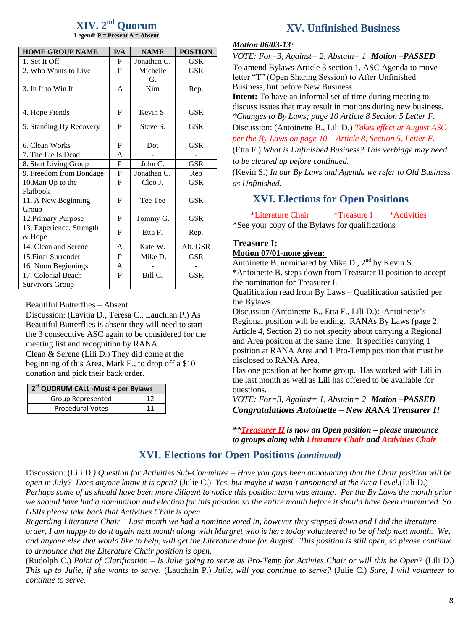#### **XIV. 2 nd Quorum Legend: P = Present A = Absent**

| <b>HOME GROUP NAME</b>             | P/A          | <b>NAME</b>    | <b>POSTION</b> |
|------------------------------------|--------------|----------------|----------------|
| 1. Set It Off                      | P            | Jonathan C.    | <b>GSR</b>     |
| 2. Who Wants to Live               | P            | Michelle<br>G. | <b>GSR</b>     |
| 3. In It to Win It                 | $\mathsf{A}$ | Kim            | Rep.           |
| 4. Hope Fiends                     | P            | Kevin S.       | GSR            |
| 5. Standing By Recovery            | P            | Steve S.       | <b>GSR</b>     |
| 6. Clean Works                     | P            | Dot            | <b>GSR</b>     |
| 7. The Lie Is Dead                 | A            |                |                |
| 8. Start Living Group              | P            | John C.        | <b>GSR</b>     |
| 9. Freedom from Bondage            | P            | Jonathan C.    | Rep            |
| 10. Man Up to the                  | P            | Cleo J.        | <b>GSR</b>     |
| Flatbook                           |              |                |                |
| 11. A New Beginning<br>Group       | P            | Tee Tee        | <b>GSR</b>     |
| 12. Primary Purpose                | P            | Tommy G.       | <b>GSR</b>     |
| 13. Experience, Strength<br>& Hope | P            | Etta F.        | Rep.           |
| 14. Clean and Serene               | A            | Kate W.        | Alt. GSR       |
| 15. Final Surrender                | P            | Mike D.        | <b>GSR</b>     |
| 16. Noon Beginnings                | A            |                |                |
| 17. Colonial Beach                 | P            | Bill C.        | <b>GSR</b>     |
| Survivors Group                    |              |                |                |

Beautiful Butterflies – Absent

Discussion: (Lavitia D., Teresa C., Lauchlan P.) As Beautiful Butterflies is absent they will need to start the 3 consecutive ASC again to be considered for the meeting list and recognition by RANA. Clean & Serene (Lili D.) They did come at the beginning of this Area, Mark E., to drop off a \$10 donation and pick their back order.

| 2 <sup>st</sup> QUORUM CALL - Must 4 per Bylaws |  |  |  |  |  |
|-------------------------------------------------|--|--|--|--|--|
| <b>Group Represented</b>                        |  |  |  |  |  |
| <b>Procedural Votes</b>                         |  |  |  |  |  |

### **XV. Unfinished Business**

#### *Motion 06/03-13:*

*VOTE: For=3, Against= 2, Abstain= 1 Motion –PASSED* To amend Bylaws Article 3 section 1, ASC Agenda to move letter "T" (Open Sharing Session) to After Unfinished Business, but before New Business.

**Intent:** To have an informal set of time during meeting to discuss issues that may result in motions during new business. *\*Changes to By Laws; page 10 Article 8 Section 5 Letter F.*  Discussion: (Antoinette B., Lili D.) *Takes effect at August ASC*

*per the By Laws on page 10 – Article 8, Section 5, Letter F.* (Etta F.) *What is Unfinished Business? This verbiage may need* 

*to be cleared up before continued.*

(Kevin S.) *In our By Laws and Agenda we refer to Old Business as Unfinished.*

### **XVI. Elections for Open Positions**

\*Literature Chair \*Treasure I \*Activities \*See your copy of the Bylaws for qualifications

#### **Treasure I: Motion 07/01-none given:**

Antoinette B. nominated by Mike D.,  $2<sup>nd</sup>$  by Kevin S.

\*Antoinette B. steps down from Treasurer II position to accept the nomination for Treasurer I.

Qualification read from By Laws – Qualification satisfied per the Bylaws.

Discussion (Antoinette B., Etta F., Lili D.): Antoinette's Regional position will be ending. RANAs By Laws (page 2, Article 4, Section 2) do not specify about carrying a Regional and Area position at the same time. It specifies carrying 1 position at RANA Area and 1 Pro-Temp position that must be disclosed to RANA Area.

Has one position at her home group. Has worked with Lili in the last month as well as Lili has offered to be available for questions.

*VOTE: For=3, Against= 1, Abstain= 2 Motion –PASSED Congratulations Antoinette – New RANA Treasurer I!*

*\*\*Treasurer II is now an Open position – please announce to groups along with Literature Chair and Activities Chair*

### **XVI. Elections for Open Positions** *(continued)*

Discussion: (Lili D*.) Question for Activities Sub-Committee – Have you guys been announcing that the Chair position will be open in July? Does anyone know it is open?* (Julie C.) *Yes, but maybe it wasn't announced at the Area Level.*(Lili D.) *Perhaps some of us should have been more diligent to notice this position term was ending. Per the By Laws the month prior we should have had a nomination and election for this position so the entire month before it should have been announced. So GSRs please take back that Activities Chair is open.* 

*Regarding Literature Chair – Last month we had a nominee voted in, however they stepped down and I did the literature order, I am happy to do it again next month along with Margret who is here today volunteered to be of help next month. We, and anyone else that would like to help, will get the Literature done for August. This position is still open, so please continue to announce that the Literature Chair position is open.*

(Rudolph C.) *Point of Clarification – Is Julie going to serve as Pro-Temp for Activies Chair or will this be Open?* (Lili D.) *This up to Julie, if she wants to serve.* (Lauchaln P.) *Julie, will you continue to serve?* (Julie C.) *Sure, I will volunteer to continue to serve.*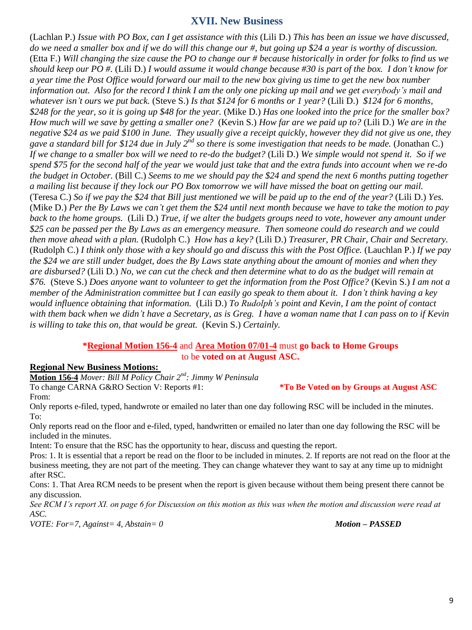### **XVII. New Business**

(Lachlan P.) *Issue with PO Box, can I get assistance with this* (Lili D.) *This has been an issue we have discussed, do we need a smaller box and if we do will this change our #, but going up \$24 a year is worthy of discussion.* (Etta F.) *Will changing the size cause the PO to change our # because historically in order for folks to find us we should keep our PO #.* (Lili D.) *I would assume it would change because #30 is part of the box. I don't know for a year time the Post Office would forward our mail to the new box giving us time to get the new box number information out. Also for the record I think I am the only one picking up mail and we get everybody's mail and whatever isn't ours we put back.* (Steve S.) *Is that \$124 for 6 months or 1 year?* (Lili D.) *\$124 for 6 months, \$248 for the year, so it is going up \$48 for the year.* (Mike D.) *Has one looked into the price for the smaller box? How much will we save by getting a smaller one?* (Kevin S.) *How far are we paid up to?* (Lili D.) *We are in the negative \$24 as we paid \$100 in June. They usually give a receipt quickly, however they did not give us one, they*  gave a standard bill for \$124 due in July 2<sup>nd</sup> so there is some investigation that needs to be made. (Jonathan C.) *If we change to a smaller box will we need to re-do the budget?* (Lili D.) *We simple would not spend it. So if we spend \$75 for the second half of the year we would just take that and the extra funds into account when we re-do the budget in October.* (Bill C.) *Seems to me we should pay the \$24 and spend the next 6 months putting together a mailing list because if they lock our PO Box tomorrow we will have missed the boat on getting our mail.* (Teresa C.) *So if we pay the \$24 that Bill just mentioned we will be paid up to the end of the year?* (Lili D.) *Yes.* (Mike D.) *Per the By Laws we can't get them the \$24 until next month because we have to take the motion to pay back to the home groups.* (Lili D.) *True, if we alter the budgets groups need to vote, however any amount under \$25 can be passed per the By Laws as an emergency measure. Then someone could do research and we could then move ahead with a plan.* (Rudolph C.) *How has a key?* (Lili D.) *Treasurer, PR Chair, Chair and Secretary.* (Rudolph C.) *I think only those with a key should go and discuss this with the Post Office.* (Lauchlan P.) *If we pay the \$24 we are still under budget, does the By Laws state anything about the amount of monies and when they are disbursed?* (Lili D.) *No, we can cut the check and then determine what to do as the budget will remain at \$76.* (Steve S.) *Does anyone want to volunteer to get the information from the Post Office?* (Kevin S.) *I am not a member of the Administration committee but I can easily go speak to them about it. I don't think having a key would influence obtaining that information.* (Lili D.) *To Rudolph's point and Kevin, I am the point of contact with them back when we didn't have a Secretary, as is Greg. I have a woman name that I can pass on to if Kevin is willing to take this on, that would be great.* (Kevin S.) *Certainly.*

#### **\*Regional Motion 156-4** and **Area Motion 07/01-4** must **go back to Home Groups** to be **voted on at August ASC.**

### **Regional New Business Motions:**

**Motion 156-4** *Mover: Bill M Policy Chair 2nd: Jimmy W Peninsula* To change CARNA G&RO Section V: Reports #1: **\*To Be Voted on by Groups at August ASC**

From:

Only reports e-filed, typed, handwrote or emailed no later than one day following RSC will be included in the minutes. To:

Only reports read on the floor and e-filed, typed, handwritten or emailed no later than one day following the RSC will be included in the minutes.

Intent: To ensure that the RSC has the opportunity to hear, discuss and questing the report.

Pros: 1. It is essential that a report be read on the floor to be included in minutes. 2. If reports are not read on the floor at the business meeting, they are not part of the meeting. They can change whatever they want to say at any time up to midnight after RSC.

Cons: 1. That Area RCM needs to be present when the report is given because without them being present there cannot be any discussion.

*See RCM I's report XI. on page 6 for Discussion on this motion as this was when the motion and discussion were read at ASC.*

*VOTE: For=7, Against= 4, Abstain= 0 Motion – PASSED*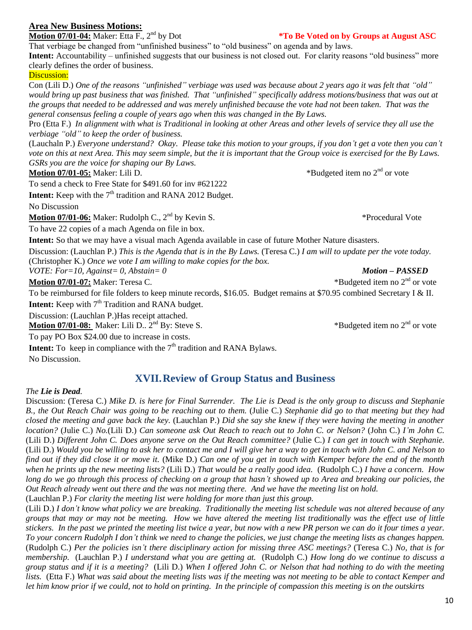10

### **Area New Business Motions:**

**Motion 07/01-04:** Maker: Etta F., 2<sup>nd</sup> by Dot **\*To Be Voted on by Groups at August ASC** That verbiage be changed from "unfinished business" to "old business" on agenda and by laws.

**Intent:** Accountability – unfinished suggests that our business is not closed out. For clarity reasons "old business" more clearly defines the order of business.

### Discussion:

Con (Lili D.) *One of the reasons "unfinished" verbiage was used was because about 2 years ago it was felt that "old" would bring up past business that was finished. That "unfinished" specifically address motions/business that was out at the groups that needed to be addressed and was merely unfinished because the vote had not been taken. That was the general consensus feeling a couple of years ago when this was changed in the By Laws.*

Pro (Etta F.) *In alignment with what is Traditional in looking at other Areas and other levels of service they all use the verbiage "old" to keep the order of business.*

(Lauchaln P.) *Everyone understand? Okay. Please take this motion to your groups, if you don't get a vote then you can't vote on this at next Area. This may seem simple, but the it is important that the Group voice is exercised for the By Laws. GSRs you are the voice for shaping our By Laws.*

**Motion 07/01-05:** Maker: Lili D.

To send a check to Free State for \$491.60 for inv #621222

**Intent:** Keep with the 7<sup>th</sup> tradition and RANA 2012 Budget. No Discussion

**Motion 07/01-06:** Maker: Rudolph C., 2nd by Kevin S. \*Procedural Vote

To have 22 copies of a mach Agenda on file in box.

**Intent:** So that we may have a visual mach Agenda available in case of future Mother Nature disasters.

Discussion: (Lauchlan P.) *This is the Agenda that is in the By Laws.* (Teresa C.) *I am will to update per the vote today.*  (Christopher K.) *Once we vote I am willing to make copies for the box.*

*VOTE: For=10, Against= 0, Abstain= 0 Motion – PASSED*

**Motion 07/01-07:** Maker: Teresa C.  $*Budgeted item no 2<sup>nd</sup> or vote$ 

To be reimbursed for file folders to keep minute records, \$16.05. Budget remains at \$70.95 combined Secretary I & II.

**Intent:** Keep with  $7<sup>th</sup>$  Tradition and RANA budget.

Discussion: (Lauchlan P.)Has receipt attached.

**Motion 07/01-08:** Maker: Lili D.. 2nd By: Steve S. \*Budgeted item no 2nd or vote

To pay PO Box \$24.00 due to increase in costs.

**Intent:** To keep in compliance with the  $7<sup>th</sup>$  tradition and RANA Bylaws.

No Discussion.

### **XVII.Review of Group Status and Business**

### *The Lie is Dead.*

Discussion: (Teresa C.) *Mike D. is here for Final Surrender. The Lie is Dead is the only group to discuss and Stephanie B., the Out Reach Chair was going to be reaching out to them.* (Julie C.) *Stephanie did go to that meeting but they had closed the meeting and gave back the key.* (Lauchlan P.) *Did she say she knew if they were having the meeting in another location?* (Julie C.) *No.*(Lili D.) *Can someone ask Out Reach to reach out to John C. or Nelson?* (John C.) *I'm John C.*  (Lili D.) *Different John C. Does anyone serve on the Out Reach committee?* (Julie C.) *I can get in touch with Stephanie.*  (Lili D.) *Would you be willing to ask her to contact me and I will give her a way to get in touch with John C. and Nelson to find out if they did close it or move it.* (Mike D.) *Can one of you get in touch with Kemper before the end of the month when he prints up the new meeting lists?* (Lili D.) *That would be a really good idea.* (Rudolph C.) *I have a concern. How long do we go through this process of checking on a group that hasn't showed up to Area and breaking our policies, the Out Reach already went out there and the was not meeting there. And we have the meeting list on hold.*

(Lauchlan P.) *For clarity the meeting list were holding for more than just this group.*

(Lili D.) *I don't know what policy we are breaking. Traditionally the meeting list schedule was not altered because of any groups that may or may not be meeting. How we have altered the meeting list traditionally was the effect use of little stickers. In the past we printed the meeting list twice a year, but now with a new PR person we can do it four times a year. To your concern Rudolph I don't think we need to change the policies, we just change the meeting lists as changes happen.* (Rudolph C.) *Per the policies isn't there disciplinary action for missing three ASC meetings?* (Teresa C.) *No, that is for membership.* (Lauchlan P.) *I understand what you are getting at.* (Rudolph C.) *How long do we continue to discuss a group status and if it is a meeting?* (Lili D.) *When I offered John C. or Nelson that had nothing to do with the meeting lists.* (Etta F.) *What was said about the meeting lists was if the meeting was not meeting to be able to contact Kemper and let him know prior if we could, not to hold on printing. In the principle of compassion this meeting is on the outskirts*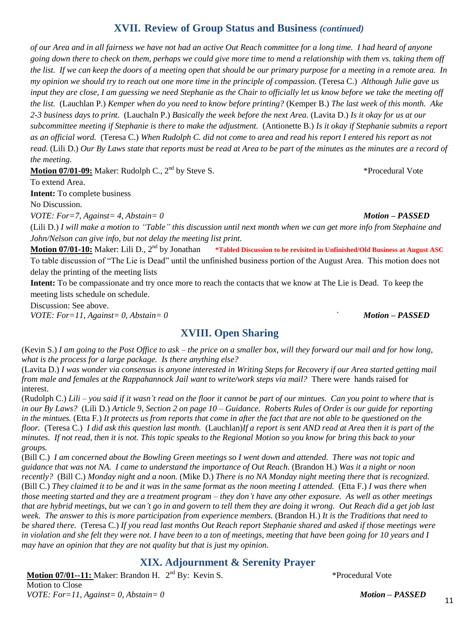### **XVII. Review of Group Status and Business** *(continued)*

*of our Area and in all fairness we have not had an active Out Reach committee for a long time. I had heard of anyone going down there to check on them, perhaps we could give more time to mend a relationship with them vs. taking them off the list. If we can keep the doors of a meeting open that should be our primary purpose for a meeting in a remote area. In my opinion we should try to reach out one more time in the principle of compassion.* (Teresa C.) *Although Julie gave us input they are close, I am guessing we need Stephanie as the Chair to officially let us know before we take the meeting off the list.* (Lauchlan P.) *Kemper when do you need to know before printing?* (Kemper B.) *The last week of this month. Ake 2-3 business days to print.* (Lauchaln P.) *Basically the week before the next Area.* (Lavita D.) *Is it okay for us at our subcommittee meeting if Stephanie is there to make the adjustment.* (Antionette B.) *Is it okay if Stephanie submits a report as an official word.* (Teresa C.) *When Rudolph C. did not come to area and read his report I entered his report as not read.* (Lili D.) *Our By Laws state that reports must be read at Area to be part of the minutes as the minutes are a record of the meeting.*

**Motion 07/01-09:** Maker: Rudolph C., 2nd by Steve S. \*Procedural Vote

To extend Area.

**Intent:** To complete business

No Discussion.

*VOTE: For=7, Against= 4, Abstain= 0 Motion – PASSED*

(Lili D.) *I will make a motion to "Table" this discussion until next month when we can get more info from Stephaine and John/Nelson can give info, but not delay the meeting list print.*

**Motion 07/01-10:** Maker: Lili D., 2<sup>nd</sup> by Jonathan **\*Tabled Discussion to be revisited in Unfinished/Old Business at August ASC** To table discussion of "The Lie is Dead" until the unfinished business portion of the August Area. This motion does not delay the printing of the meeting lists

**Intent:** To be compassionate and try once more to reach the contacts that we know at The Lie is Dead. To keep the meeting lists schedule on schedule.

Discussion: See above.

*VOTE: For=11, Against= 0, Abstain= 0 ` Motion – PASSED*

### **XVIII. Open Sharing**

(Kevin S.) *I am going to the Post Office to ask – the price on a smaller box, will they forward our mail and for how long, what is the process for a large package. Is there anything else?*

(Lavita D.) *I was wonder via consensus is anyone interested in Writing Steps for Recovery if our Area started getting mail from male and females at the Rappahannock Jail want to write/work steps via mail?* There were hands raised for interest.

(Rudolph C.) *Lili – you said if it wasn't read on the floor it cannot be part of our mintues. Can you point to where that is in our By Laws?* (Lili D.) *Article 9, Section 2 on page 10 – Guidance. Roberts Rules of Order is our guide for reporting in the mintues.* (Etta F.) *It protects us from reports that come in after the fact that are not able to be questioned on the floor.* (Teresa C.) *I did ask this question last month.* (Lauchlan)*If a report is sent AND read at Area then it is part of the minutes. If not read, then it is not. This topic speaks to the Regional Motion so you know for bring this back to your groups.*

(Bill C.) *I am concerned about the Bowling Green meetings so I went down and attended. There was not topic and guidance that was not NA. I came to understand the importance of Out Reach.* (Brandon H.) *Was it a night or noon recently?* (Bill C.) *Monday night and a noon.* (Mike D.) *There is no NA Monday night meeting there that is recognized.*  (Bill C.) *They claimed it to be and it was in the same format as the noon meeting I attended.* (Etta F.) *I was there when those meeting started and they are a treatment program – they don't have any other exposure. As well as other meetings that are hybrid meetings, but we can't go in and govern to tell them they are doing it wrong. Out Reach did a get job last week. The answer to this is more participation from experience members.* (Brandon H.) *It is the Traditions that need to be shared there.* (Teresa C.) *If you read last months Out Reach report Stephanie shared and asked if those meetings were in violation and she felt they were not. I have been to a ton of meetings, meeting that have been going for 10 years and I may have an opinion that they are not quality but that is just my opinion.*

### **XIX. Adjournment & Serenity Prayer**

**Motion 07/01--11:** Maker: Brandon H. 2 nd By: Kevin S. \*Procedural Vote Motion to Close

*VOTE: For=11, Against= 0, Abstain= 0 Motion – PASSED*

11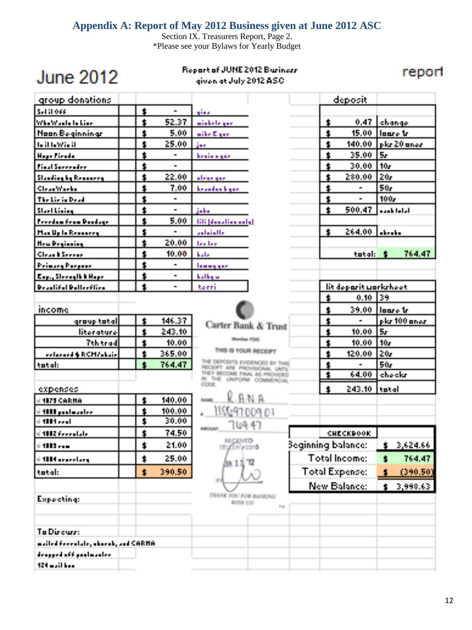### **Appendix A: Report of May 2012 Business given at June 2012 ASC**

Section IX. Treasurers Report, Page 2. \*Please see your Bylaws for Yearly Budget

# **June 2012**

### Report of JUNE 2012 Buriners given at July 2012 ASC.

report

| group donations                     |                      |                |                                                           |                           |                         | deposit               |               |               |
|-------------------------------------|----------------------|----------------|-----------------------------------------------------------|---------------------------|-------------------------|-----------------------|---------------|---------------|
| Set it ove                          | ţ                    | $\blacksquare$ | gina                                                      |                           |                         |                       |               |               |
| Whe Wash In Line                    | Ż                    | 52.37          | wickele gae.                                              |                           | \$                      | 0.47                  | <b>chango</b> |               |
| <b>Noon Beginnings</b>              | t                    | 5.00           | with Expert                                               |                           | $\bullet$               | 15.00 Hours tr        |               |               |
| <b>In it fally in it</b>            | ś.                   | 25.00          | jar.                                                      |                           | $\pmb{\ast}$            | 140.00                |               | lekr 20 anos  |
| Hope Firedo                         | Ś                    |                | <b>Realisting</b>                                         |                           | $\ddot{\phantom{a}}$    | 35.00                 | l Sr          |               |
| <b>Pinal Surrender</b>              | $\ddagger$           | $\blacksquare$ |                                                           |                           | $\ddagger$              | 30.00                 | 10r           |               |
| <b>Standing by Remaining</b>        | ś                    | 22.00          | aleae que                                                 |                           | $\ddagger$              | 280.00                | 20r           |               |
| CleanWorks                          | ś                    | 7.00           | <b>Installation</b> Inspect                               |                           | \$                      | $\blacksquare$        | 50r           |               |
| The Lie is Dead                     | \$                   | $\blacksquare$ |                                                           |                           | $\ddagger$              | $\blacksquare$        | 100r          |               |
| Start Lining                        | Ś                    | $\blacksquare$ | $\frac{1}{2}$ , $\frac{1}{2}$                             |                           | $\hat{\bm{x}}$          | 500.47                |               | الراما بامدها |
| <b>Perchan From Poologe</b>         | \$                   | 5.00           | <b>BB</b> (denuties and gl                                |                           |                         |                       |               |               |
| <b>Handle Le Reserves</b>           | $\bullet$            | $\blacksquare$ | autoiotte.                                                |                           | $\mathbf{t}$            | 264.00 Links          |               |               |
| <b>HealPeginning</b>                | ŧ                    | 20.00          | <b>Techer</b>                                             |                           |                         |                       |               |               |
| <b>Clean b Seeree</b>               | \$                   | 10.00          | <b>bale</b>                                               |                           |                         | tatal:                | - 1           | 764.47        |
| <b>Peinang Perpect</b>              | ś,                   | $\blacksquare$ | <u>Inging gent</u>                                        |                           |                         |                       |               |               |
| Exp., Steeralk & Hope               | ŧ                    |                | <b>halling</b> an                                         |                           |                         |                       |               |               |
| <b>Practifiel Pollection</b>        | $\pmb{\cdot}$        | $\blacksquare$ | terri                                                     |                           |                         | lit doparit workshoot |               |               |
|                                     |                      |                |                                                           |                           | $\bullet$               | 0.10 139              |               |               |
| income                              |                      |                |                                                           |                           | $\ddagger$              | 39.00   loars tr      |               |               |
| group tatal                         | \$                   | 146.37         | Carter Bank & Trust                                       |                           | $\ddagger$              |                       |               | plat 100 anos |
| literature                          | Ė                    | 243.10         |                                                           |                           | $\overline{\mathbf{r}}$ | 10.00                 | 5r            |               |
| <b>Tth trad</b>                     | ŧ                    | 10.00          | <b>Render FOLD</b>                                        |                           | $\ddagger$              | 10.00                 | l 10.         |               |
| <b>Enterpreneurs</b> RCMVelosie     | ś.                   | 365.00         | THIS IS YOUR RECEIPT                                      |                           | $\ddagger$              | 120.00                | 20r           |               |
| tatal:                              | Ġ,                   | 764.47         | DEPOSITE EVERENTEN BY<br>NICERT ARE PROVISIONAL UNTI      |                           | 1                       |                       | 50r           |               |
|                                     |                      |                | THEY BECOME FINAL AS INCIVERD<br>IN THE UNFORM COMMERCIAL |                           | Ŧ                       | 64.00                 | <b>chockr</b> |               |
| expenses                            |                      |                | <b>COOKING</b>                                            |                           | $\pmb{\ast}$            | 243.10 tatal          |               |               |
| <b>VIERS CARNA</b>                  | 1                    | 140.00         | R-A-N-A<br><b>Building</b>                                |                           |                         |                       |               |               |
| si 1888 poolaandee                  | $\ddagger$           | 100.00         | 1155697.009.01                                            |                           |                         |                       |               |               |
| si di Bildi e est                   | Ŧ                    | 30.00          |                                                           |                           |                         |                       |               |               |
| 1002 Feeral ale                     | $\ddagger$           | 74.50          | ገ៤ት ፋን<br>AMOUNT                                          |                           |                         | CHECKPOOK.            |               |               |
| d 1885 - Jan                        | $\ddot{\phantom{a}}$ | 21.00          | <b><i>RECEIVED</i></b>                                    | <b>Beginning balance:</b> |                         |                       | $\mathbf{f}$  | 3,624.66      |
| s <mark>t 1004 overstarg</mark>     | t                    | 25.00          | m 13                                                      |                           |                         | <b>Total Income:</b>  | Ť.            | 764.47        |
| tatal:                              | t                    | 390.50         |                                                           |                           |                         | <b>Total Expense:</b> | ¢.            | (390,501      |
|                                     |                      |                |                                                           |                           |                         | <b>New Balance:</b>   | $\pmb{\ast}$  | 3,998.63      |
|                                     |                      |                | TRANK FOU-FUR AANTING                                     |                           |                         |                       |               |               |
| Expocting:                          |                      |                | <b>BUVALIST</b><br><b>Fig.</b>                            |                           |                         |                       |               |               |
|                                     |                      |                |                                                           |                           |                         |                       |               |               |
| To Direuse:                         |                      |                |                                                           |                           |                         |                       |               |               |
| mailed Feeralale, abovab, and CARHA |                      |                |                                                           |                           |                         |                       |               |               |
| designed of figural modern          |                      |                |                                                           |                           |                         |                       |               |               |
| $124$ multiples                     |                      |                |                                                           |                           |                         |                       |               |               |
|                                     |                      |                |                                                           |                           |                         |                       |               |               |